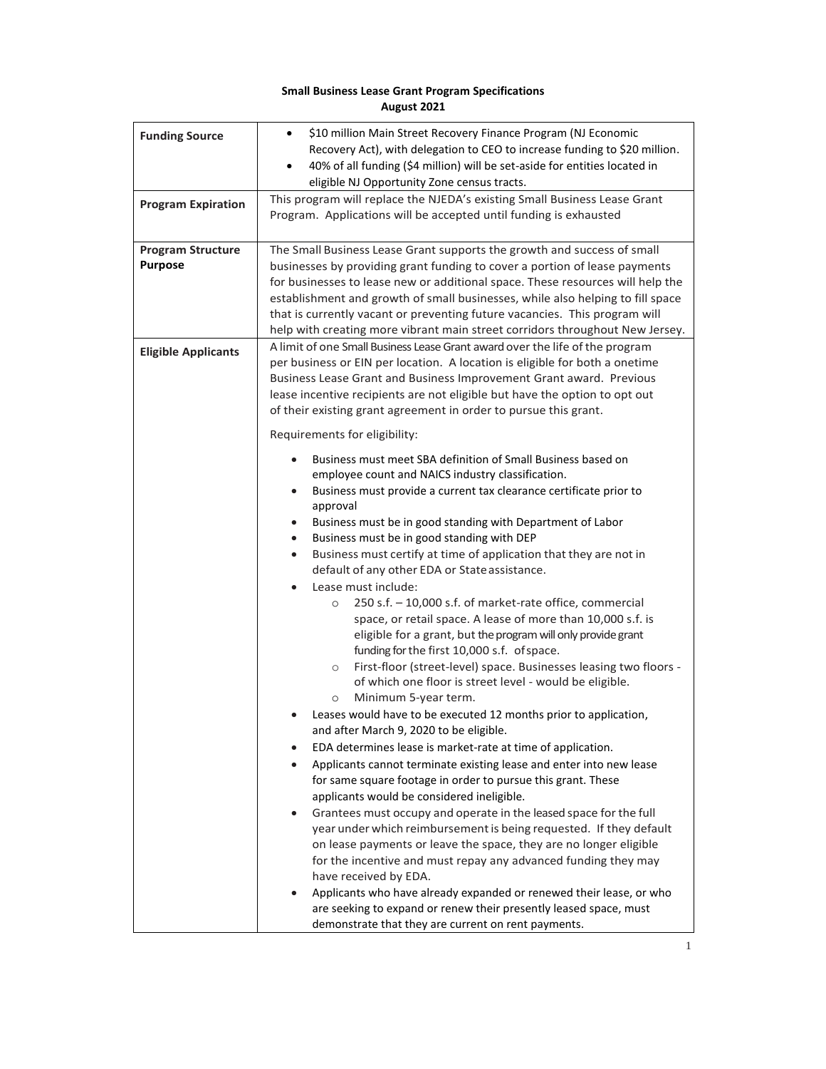## **Small Business Lease Grant Program Specifications August 2021**

| <b>Funding Source</b><br><b>Program Expiration</b> | \$10 million Main Street Recovery Finance Program (NJ Economic<br>$\bullet$<br>Recovery Act), with delegation to CEO to increase funding to \$20 million.<br>40% of all funding (\$4 million) will be set-aside for entities located in<br>$\bullet$<br>eligible NJ Opportunity Zone census tracts.<br>This program will replace the NJEDA's existing Small Business Lease Grant<br>Program. Applications will be accepted until funding is exhausted                                                                                                                                                                                                                                                                                                                                                                                                                                |
|----------------------------------------------------|--------------------------------------------------------------------------------------------------------------------------------------------------------------------------------------------------------------------------------------------------------------------------------------------------------------------------------------------------------------------------------------------------------------------------------------------------------------------------------------------------------------------------------------------------------------------------------------------------------------------------------------------------------------------------------------------------------------------------------------------------------------------------------------------------------------------------------------------------------------------------------------|
| <b>Program Structure</b><br><b>Purpose</b>         | The Small Business Lease Grant supports the growth and success of small<br>businesses by providing grant funding to cover a portion of lease payments<br>for businesses to lease new or additional space. These resources will help the<br>establishment and growth of small businesses, while also helping to fill space<br>that is currently vacant or preventing future vacancies. This program will<br>help with creating more vibrant main street corridors throughout New Jersey.                                                                                                                                                                                                                                                                                                                                                                                              |
| <b>Eligible Applicants</b>                         | A limit of one Small Business Lease Grant award over the life of the program<br>per business or EIN per location. A location is eligible for both a onetime<br>Business Lease Grant and Business Improvement Grant award. Previous<br>lease incentive recipients are not eligible but have the option to opt out<br>of their existing grant agreement in order to pursue this grant.<br>Requirements for eligibility:<br>Business must meet SBA definition of Small Business based on                                                                                                                                                                                                                                                                                                                                                                                                |
|                                                    | employee count and NAICS industry classification.<br>Business must provide a current tax clearance certificate prior to<br>$\bullet$<br>approval<br>Business must be in good standing with Department of Labor<br>$\bullet$<br>Business must be in good standing with DEP<br>$\bullet$<br>Business must certify at time of application that they are not in<br>$\bullet$<br>default of any other EDA or State assistance.<br>Lease must include:<br>250 s.f. - 10,000 s.f. of market-rate office, commercial<br>$\circ$<br>space, or retail space. A lease of more than 10,000 s.f. is<br>eligible for a grant, but the program will only provide grant<br>funding for the first 10,000 s.f. of space.<br>First-floor (street-level) space. Businesses leasing two floors -<br>$\circ$<br>of which one floor is street level - would be eligible.<br>Minimum 5-year term.<br>$\circ$ |
|                                                    | Leases would have to be executed 12 months prior to application,<br>and after March 9, 2020 to be eligible.<br>EDA determines lease is market-rate at time of application.<br>Applicants cannot terminate existing lease and enter into new lease<br>for same square footage in order to pursue this grant. These<br>applicants would be considered ineligible.<br>Grantees must occupy and operate in the leased space for the full<br>year under which reimbursement is being requested. If they default<br>on lease payments or leave the space, they are no longer eligible<br>for the incentive and must repay any advanced funding they may<br>have received by EDA.<br>Applicants who have already expanded or renewed their lease, or who<br>are seeking to expand or renew their presently leased space, must<br>demonstrate that they are current on rent payments.        |